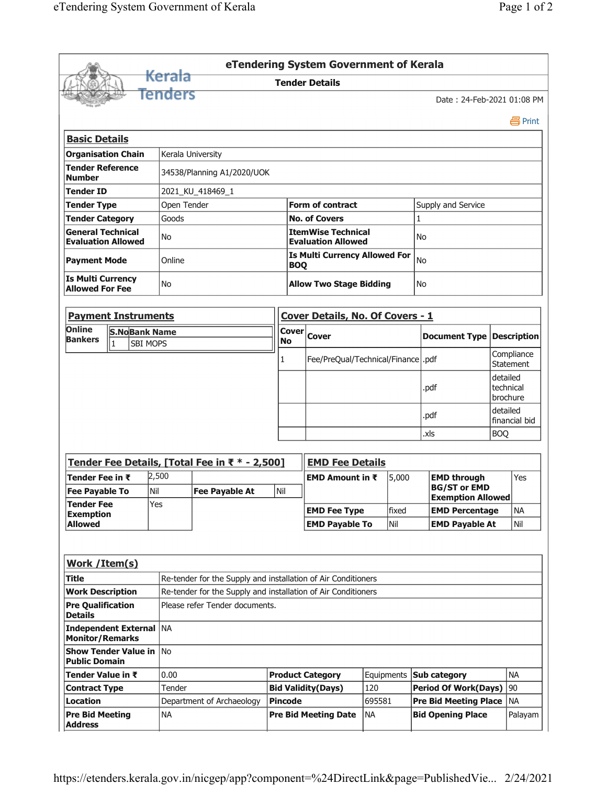|                                                                        |                               |                  |                                                               |                                |                                                    | eTendering System Government of Kerala                 |                                      |       |                              |                                                 |                                   |                                |  |
|------------------------------------------------------------------------|-------------------------------|------------------|---------------------------------------------------------------|--------------------------------|----------------------------------------------------|--------------------------------------------------------|--------------------------------------|-------|------------------------------|-------------------------------------------------|-----------------------------------|--------------------------------|--|
|                                                                        |                               | Kerala           |                                                               |                                |                                                    | <b>Tender Details</b>                                  |                                      |       |                              |                                                 |                                   |                                |  |
|                                                                        |                               | Tenders          |                                                               |                                |                                                    |                                                        |                                      |       |                              | Date: 24-Feb-2021 01:08 PM                      |                                   |                                |  |
|                                                                        |                               |                  |                                                               |                                |                                                    |                                                        |                                      |       |                              |                                                 |                                   | 昌 Print                        |  |
| <b>Basic Details</b>                                                   |                               |                  |                                                               |                                |                                                    |                                                        |                                      |       |                              |                                                 |                                   |                                |  |
| <b>Organisation Chain</b>                                              |                               |                  | Kerala University                                             |                                |                                                    |                                                        |                                      |       |                              |                                                 |                                   |                                |  |
| <b>Tender Reference</b><br>34538/Planning A1/2020/UOK<br><b>Number</b> |                               |                  |                                                               |                                |                                                    |                                                        |                                      |       |                              |                                                 |                                   |                                |  |
| <b>Tender ID</b>                                                       |                               | 2021_KU_418469_1 |                                                               |                                |                                                    |                                                        |                                      |       |                              |                                                 |                                   |                                |  |
| Open Tender<br><b>Tender Type</b>                                      |                               |                  |                                                               | <b>Form of contract</b>        |                                                    |                                                        |                                      |       | Supply and Service           |                                                 |                                   |                                |  |
| <b>Tender Category</b>                                                 |                               | Goods            |                                                               |                                |                                                    | <b>No. of Covers</b>                                   |                                      |       |                              | $\mathbf{1}$                                    |                                   |                                |  |
| <b>General Technical</b><br><b>Evaluation Allowed</b>                  |                               | No               |                                                               |                                |                                                    | <b>ItemWise Technical</b><br><b>Evaluation Allowed</b> |                                      |       |                              | No.                                             |                                   |                                |  |
| <b>Payment Mode</b>                                                    |                               | Online           |                                                               |                                | <b>Is Multi Currency Allowed For</b><br><b>BOQ</b> |                                                        |                                      |       | No                           |                                                 |                                   |                                |  |
| <b>Is Multi Currency</b><br><b>Allowed For Fee</b>                     |                               | No               |                                                               | <b>Allow Two Stage Bidding</b> |                                                    |                                                        |                                      | No.   |                              |                                                 |                                   |                                |  |
|                                                                        | <b>Payment Instruments</b>    |                  |                                                               |                                |                                                    | Cover Details, No. Of Covers - 1                       |                                      |       |                              |                                                 |                                   |                                |  |
| Online                                                                 | <b>S.NoBank Name</b>          |                  |                                                               |                                |                                                    | $\overline{\text{Cover}} _{\text{Cover}}$              |                                      |       |                              |                                                 |                                   |                                |  |
| <b>Bankers</b>                                                         | $\vert$ 1                     | <b>SBI MOPS</b>  |                                                               | <b>No</b>                      |                                                    |                                                        |                                      |       |                              | <b>Document Type Description</b>                |                                   |                                |  |
|                                                                        |                               |                  |                                                               |                                | 1                                                  |                                                        | Fee/PreQual/Technical/Finance   .pdf |       |                              |                                                 |                                   | Compliance<br><b>Statement</b> |  |
|                                                                        |                               |                  |                                                               |                                |                                                    |                                                        |                                      | .pdf  |                              |                                                 | detailed<br>technical<br>brochure |                                |  |
|                                                                        |                               |                  |                                                               |                                |                                                    |                                                        |                                      |       | .pdf                         |                                                 |                                   | detailed<br>financial bid      |  |
|                                                                        |                               |                  |                                                               |                                |                                                    |                                                        |                                      |       | .xls                         |                                                 | <b>BOQ</b>                        |                                |  |
|                                                                        |                               |                  | Tender Fee Details, [Total Fee in ₹ * - 2,500]                |                                |                                                    | <b>EMD Fee Details</b>                                 |                                      |       |                              |                                                 |                                   |                                |  |
| Tender Fee in ₹                                                        |                               | 2,500            |                                                               |                                | EMD Amount in $\bar{x}$<br>5,000                   |                                                        |                                      |       | <b>EMD through</b>           |                                                 |                                   | Yes                            |  |
| <b>Tender Fee</b>                                                      | İNil<br><b>Fee Pavable To</b> |                  | <b>Fee Pavable At</b>                                         |                                |                                                    |                                                        |                                      |       |                              | <b>BG/ST or EMD</b><br><b>Exemption Allowed</b> |                                   |                                |  |
| <b>Exemption</b>                                                       |                               | Yes              |                                                               |                                |                                                    | <b>EMD Fee Type</b>                                    |                                      | fixed | <b>EMD Percentage</b>        |                                                 |                                   | <b>NA</b>                      |  |
| <b>Allowed</b>                                                         |                               |                  |                                                               |                                |                                                    | <b>EMD Payable To</b>                                  |                                      | Nil   |                              | <b>EMD Payable At</b>                           |                                   | Nil                            |  |
|                                                                        |                               |                  |                                                               |                                |                                                    |                                                        |                                      |       |                              |                                                 |                                   |                                |  |
| Work / Item(s)                                                         |                               |                  |                                                               |                                |                                                    |                                                        |                                      |       |                              |                                                 |                                   |                                |  |
| <b>Title</b>                                                           |                               |                  | Re-tender for the Supply and installation of Air Conditioners |                                |                                                    |                                                        |                                      |       |                              |                                                 |                                   |                                |  |
| <b>Work Description</b>                                                |                               |                  | Re-tender for the Supply and installation of Air Conditioners |                                |                                                    |                                                        |                                      |       |                              |                                                 |                                   |                                |  |
| <b>Pre Qualification</b><br><b>Details</b>                             |                               |                  | Please refer Tender documents.                                |                                |                                                    |                                                        |                                      |       |                              |                                                 |                                   |                                |  |
| <b>Independent External</b><br><b>Monitor/Remarks</b>                  |                               | l NA             |                                                               |                                |                                                    |                                                        |                                      |       |                              |                                                 |                                   |                                |  |
| <b>Show Tender Value in</b><br><b>Public Domain</b>                    |                               | l No             |                                                               |                                |                                                    |                                                        |                                      |       |                              |                                                 |                                   |                                |  |
|                                                                        | Tender Value in ₹<br>0.00     |                  |                                                               | <b>Product Category</b>        |                                                    | Equipments <b>Sub category</b>                         |                                      |       |                              |                                                 | <b>NA</b>                         |                                |  |
| <b>Contract Type</b>                                                   |                               | Tender           |                                                               |                                |                                                    | <b>Bid Validity(Days)</b>                              | 120                                  |       | <b>Period Of Work(Days)</b>  |                                                 |                                   | 90                             |  |
| Location                                                               |                               |                  | Department of Archaeology                                     | Pincode                        |                                                    |                                                        | 695581                               |       | <b>Pre Bid Meeting Place</b> |                                                 |                                   | <b>NA</b>                      |  |
| <b>Pre Bid Meeting</b><br><b>Address</b>                               |                               | <b>NA</b>        |                                                               |                                | <b>Pre Bid Meeting Date</b>                        |                                                        | <b>NA</b>                            |       | <b>Bid Opening Place</b>     |                                                 |                                   | Palayam                        |  |